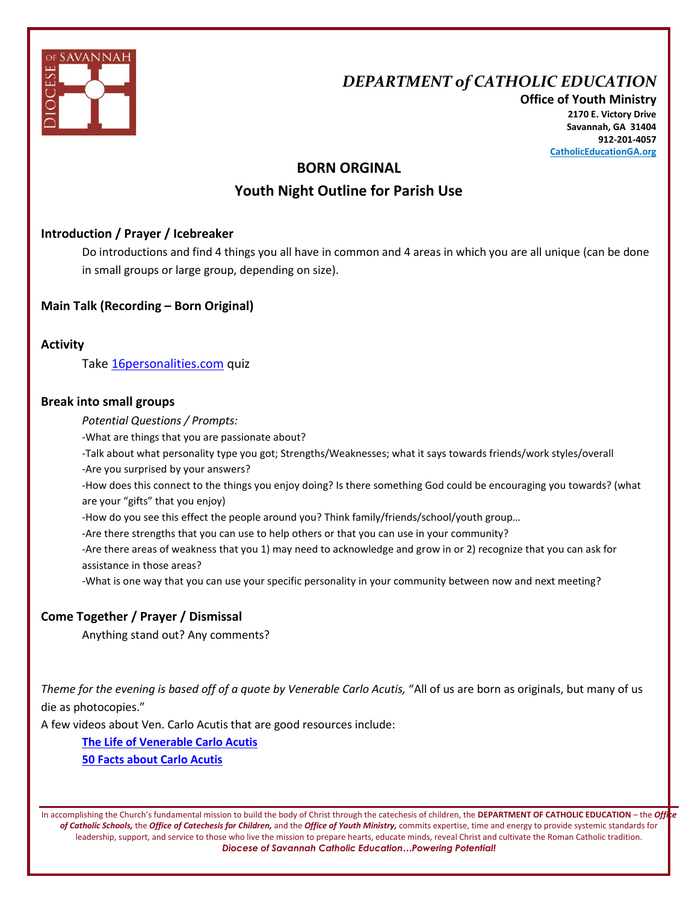

## *DEPARTMENT of CATHOLIC EDUCATION*

**Office of Youth Ministry 2170 E. Victory Drive Savannah, GA 31404 912-201-4057 CatholicEducationGA.org**

## **BORN ORGINAL Youth Night Outline for Parish Use**

## **Introduction / Prayer / Icebreaker**

Do introductions and find 4 things you all have in common and 4 areas in which you are all unique (can be done in small groups or large group, depending on size).

#### **Main Talk (Recording – Born Original)**

**Activity**

Tak[e 16personalities.com](https://www.16personalities.com/) quiz

#### **Break into small groups**

*Potential Questions / Prompts:*

-What are things that you are passionate about?

-Talk about what personality type you got; Strengths/Weaknesses; what it says towards friends/work styles/overall

-Are you surprised by your answers?

-How does this connect to the things you enjoy doing? Is there something God could be encouraging you towards? (what are your "gifts" that you enjoy)

-How do you see this effect the people around you? Think family/friends/school/youth group…

-Are there strengths that you can use to help others or that you can use in your community?

-Are there areas of weakness that you 1) may need to acknowledge and grow in or 2) recognize that you can ask for assistance in those areas?

-What is one way that you can use your specific personality in your community between now and next meeting?

## **Come Together / Prayer / Dismissal**

Anything stand out? Any comments?

Theme for the evening is based off of a quote by Venerable Carlo Acutis, "All of us are born as originals, but many of us die as photocopies."

A few videos about Ven. Carlo Acutis that are good resources include:

**[The Life of Venerable Carlo Acutis](https://www.youtube.com/watch?v=yC_oZIY_f5w)**

**[50 Facts about Carlo Acutis](https://www.youtube.com/watch?v=DgLtOF0G2sQ)**

In accomplishing the Church's fundamental mission to build the body of Christ through the catechesis of children, the **DEPARTMENT OF CATHOLIC EDUCATION** – the *Office of Catholic Schools,* the *Office of Catechesis for Children,* and the *Office of Youth Ministry,* commits expertise, time and energy to provide systemic standards for leadership, support, and service to those who live the mission to prepare hearts, educate minds, reveal Christ and cultivate the Roman Catholic tradition. *Diocese of Savannah Catholic Education…Powering Potential!*